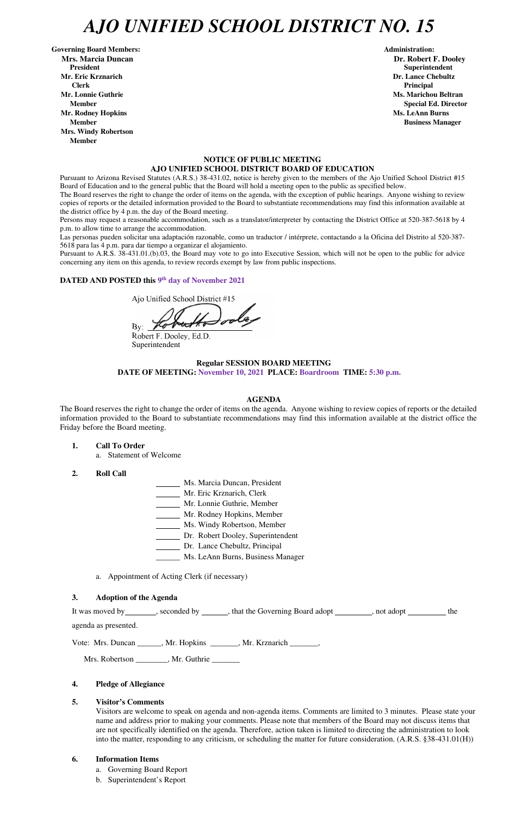# *AJO UNIFIED SCHOOL DISTRICT NO. 15*

Governing Board Members: **Administration: Administration: Administration: Mrs. Marcia Duncan Dr. Robert F. Dooley President Superintendent in the set of the set of the set of the set of the set of the Superintendent Superintendent Mr. Eric Krznarich Dr. Lance Chebultz Clerk Principal Mr. Lonnie Guthrie Ms. Marichou Beltran** *Ms. Marichou Beltran* **<b>Ms. Marichou Beltran Mr. Rodney Hopkins Ms. LeAnn Burns Member Business Manager Business Manager Business Manager Business Manager Mrs. Windy Robertson Member** 

#### **NOTICE OF PUBLIC MEETING AJO UNIFIED SCHOOL DISTRICT BOARD OF EDUCATION**

Pursuant to Arizona Revised Statutes (A.R.S.) 38-431.02, notice is hereby given to the members of the Ajo Unified School District #15 Board of Education and to the general public that the Board will hold a meeting open to the public as specified below.

The Board reserves the right to change the order of items on the agenda, with the exception of public hearings. Anyone wishing to review copies of reports or the detailed information provided to the Board to substantiate recommendations may find this information available at the district office by 4 p.m. the day of the Board meeting.

Persons may request a reasonable accommodation, such as a translator/interpreter by contacting the District Office at 520-387-5618 by 4 p.m. to allow time to arrange the accommodation.

Las personas pueden solicitar una adaptación razonable, como un traductor / intérprete, contactando a la Oficina del Distrito al 520-387- 5618 para las 4 p.m. para dar tiempo a organizar el alojamiento.

It was moved by seconded by \_\_\_\_\_, that the Governing Board adopt \_\_\_\_\_\_\_, not adopt \_\_\_\_\_\_\_ the agenda as presented.

Pursuant to A.R.S. 38-431.01.(b).03, the Board may vote to go into Executive Session, which will not be open to the public for advice concerning any item on this agenda, to review records exempt by law from public inspections.

### DATED AND POSTED this <sup>9th</sup> day of November 2021

Ajo Unified School District #15

 $By:$ 

Robert F. Dooley, Ed.D. Superintendent

# **Regular SESSION BOARD MEETING DATE OF MEETING: November 10, 2021 PLACE: Boardroom TIME: 5:30 p.m.**

#### **AGENDA**

The Board reserves the right to change the order of items on the agenda. Anyone wishing to review copies of reports or the detailed information provided to the Board to substantiate recommendations may find this information available at the district office the Friday before the Board meeting.

- **1. Call To Order** 
	- a. Statement of Welcome
- **2. Roll Call**
- Ms. Marcia Duncan, President
- Mr. Eric Krznarich, Clerk
- Mr. Lonnie Guthrie, Member
- Mr. Rodney Hopkins, Member
- Ms. Windy Robertson, Member
- Dr. Robert Dooley, Superintendent
- Dr. Lance Chebultz, Principal
- \_\_\_\_\_\_ Ms. LeAnn Burns, Business Manager
- a. Appointment of Acting Clerk (if necessary)

#### **3. Adoption of the Agenda**

**Member** Special Ed. Director **Special Ed. Director** 

Vote: Mrs. Duncan \_\_\_\_\_\_, Mr. Hopkins \_\_\_\_\_\_\_, Mr. Krznarich \_\_\_\_\_\_\_,

Mrs. Robertson \_\_\_\_\_\_\_\_, Mr. Guthrie \_\_\_\_\_\_\_

### **4. Pledge of Allegiance**

#### **5. Visitor's Comments**

Visitors are welcome to speak on agenda and non-agenda items. Comments are limited to 3 minutes. Please state your name and address prior to making your comments. Please note that members of the Board may not discuss items that are not specifically identified on the agenda. Therefore, action taken is limited to directing the administration to look into the matter, responding to any criticism, or scheduling the matter for future consideration. (A.R.S. §38-431.01(H))

#### **6. Information Items**

- a. Governing Board Report
- b. Superintendent's Report